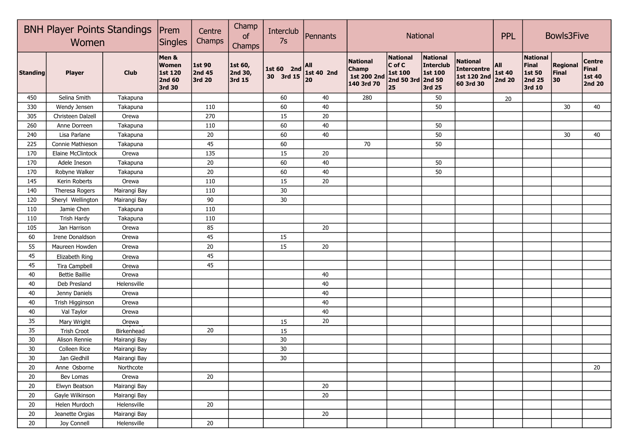|          | <b>BNH Player Points Standings</b><br>Women |              |                                                             | Centre<br>Champs                         | Champ<br>of<br>Champs        | Interclub<br>7s         | Pennants                 |                                                              | National                                                                      |                                                   |                                                            | <b>PPL</b>                            | <b>Bowls3Five</b>                                             |                                |                                                          |
|----------|---------------------------------------------|--------------|-------------------------------------------------------------|------------------------------------------|------------------------------|-------------------------|--------------------------|--------------------------------------------------------------|-------------------------------------------------------------------------------|---------------------------------------------------|------------------------------------------------------------|---------------------------------------|---------------------------------------------------------------|--------------------------------|----------------------------------------------------------|
| Standing | <b>Player</b>                               | <b>Club</b>  | Men &<br><b>Women</b><br>1st 120<br><b>2nd 60</b><br>3rd 30 | <b>1st 90</b><br><b>2nd 45</b><br>3rd 20 | 1st 60,<br>2nd 30,<br>3rd 15 | 1st 60 2nd<br>30 3rd 15 | All<br>1st 40 2nd<br> 20 | <b>National</b><br><b>Champ</b><br>1st 200 2nd<br>140 3rd 70 | National<br>$ C \text{ of } C $<br><b>1st 100</b><br>2nd 50 3rd 2nd 50<br> 25 | National<br>Interclub<br><b>1st 100</b><br>3rd 25 | <b>National</b><br>Intercentre<br>1st 120 2nd<br>60 3rd 30 | All<br><b>1st 40</b><br><b>2nd 20</b> | <b>National</b><br><b>Final</b><br>1st 50<br>2nd 25<br>3rd 10 | <b>Regional</b><br>Final<br>30 | <b>Centre</b><br><b>Final</b><br>1st 40<br><b>2nd 20</b> |
| 450      | Selina Smith                                | Takapuna     |                                                             |                                          |                              | 60                      | 40                       | 280                                                          |                                                                               | 50                                                |                                                            | 20                                    |                                                               |                                |                                                          |
| 330      | Wendy Jensen                                | Takapuna     |                                                             | 110                                      |                              | 60                      | 40                       |                                                              |                                                                               | 50                                                |                                                            |                                       |                                                               | 30                             | 40                                                       |
| 305      | Christeen Dalzell                           | Orewa        |                                                             | 270                                      |                              | 15                      | 20                       |                                                              |                                                                               |                                                   |                                                            |                                       |                                                               |                                |                                                          |
| 260      | Anne Dorreen                                | Takapuna     |                                                             | 110                                      |                              | 60                      | 40                       |                                                              |                                                                               | 50                                                |                                                            |                                       |                                                               |                                |                                                          |
| 240      | Lisa Parlane                                | Takapuna     |                                                             | 20                                       |                              | 60                      | 40                       |                                                              |                                                                               | 50                                                |                                                            |                                       |                                                               | 30                             | 40                                                       |
| 225      | Connie Mathieson                            | Takapuna     |                                                             | 45                                       |                              | 60                      |                          | 70                                                           |                                                                               | 50                                                |                                                            |                                       |                                                               |                                |                                                          |
| 170      | Elaine McClintock                           | Orewa        |                                                             | 135                                      |                              | 15                      | 20                       |                                                              |                                                                               |                                                   |                                                            |                                       |                                                               |                                |                                                          |
| 170      | Adele Ineson                                | Takapuna     |                                                             | 20                                       |                              | 60                      | 40                       |                                                              |                                                                               | 50                                                |                                                            |                                       |                                                               |                                |                                                          |
| 170      | Robyne Walker                               | Takapuna     |                                                             | 20                                       |                              | 60                      | 40                       |                                                              |                                                                               | 50                                                |                                                            |                                       |                                                               |                                |                                                          |
| 145      | Kerin Roberts                               | Orewa        |                                                             | 110                                      |                              | 15                      | 20                       |                                                              |                                                                               |                                                   |                                                            |                                       |                                                               |                                |                                                          |
| 140      | Theresa Rogers                              | Mairangi Bay |                                                             | 110                                      |                              | 30                      |                          |                                                              |                                                                               |                                                   |                                                            |                                       |                                                               |                                |                                                          |
| 120      | Sheryl Wellington                           | Mairangi Bay |                                                             | 90                                       |                              | $30\,$                  |                          |                                                              |                                                                               |                                                   |                                                            |                                       |                                                               |                                |                                                          |
| 110      | Jamie Chen                                  | Takapuna     |                                                             | 110                                      |                              |                         |                          |                                                              |                                                                               |                                                   |                                                            |                                       |                                                               |                                |                                                          |
| 110      | <b>Trish Hardy</b>                          | Takapuna     |                                                             | 110                                      |                              |                         |                          |                                                              |                                                                               |                                                   |                                                            |                                       |                                                               |                                |                                                          |
| 105      | Jan Harrison                                | Orewa        |                                                             | 85                                       |                              |                         | 20                       |                                                              |                                                                               |                                                   |                                                            |                                       |                                                               |                                |                                                          |
| 60       | Irene Donaldson                             | Orewa        |                                                             | 45                                       |                              | 15                      |                          |                                                              |                                                                               |                                                   |                                                            |                                       |                                                               |                                |                                                          |
| 55       | Maureen Howden                              | Orewa        |                                                             | $20\,$                                   |                              | 15                      | 20                       |                                                              |                                                                               |                                                   |                                                            |                                       |                                                               |                                |                                                          |
| 45       | Elizabeth Ring                              | Orewa        |                                                             | 45                                       |                              |                         |                          |                                                              |                                                                               |                                                   |                                                            |                                       |                                                               |                                |                                                          |
| 45       | <b>Tira Campbell</b>                        | Orewa        |                                                             | 45                                       |                              |                         |                          |                                                              |                                                                               |                                                   |                                                            |                                       |                                                               |                                |                                                          |
| 40       | <b>Bettie Baillie</b>                       | Orewa        |                                                             |                                          |                              |                         | 40                       |                                                              |                                                                               |                                                   |                                                            |                                       |                                                               |                                |                                                          |
| 40       | Deb Presland                                | Helensville  |                                                             |                                          |                              |                         | 40                       |                                                              |                                                                               |                                                   |                                                            |                                       |                                                               |                                |                                                          |
| 40       | Jenny Daniels                               | Orewa        |                                                             |                                          |                              |                         | 40                       |                                                              |                                                                               |                                                   |                                                            |                                       |                                                               |                                |                                                          |
| 40       | Trish Higginson                             | Orewa        |                                                             |                                          |                              |                         | 40                       |                                                              |                                                                               |                                                   |                                                            |                                       |                                                               |                                |                                                          |
| 40       | Val Taylor                                  | Orewa        |                                                             |                                          |                              |                         | 40                       |                                                              |                                                                               |                                                   |                                                            |                                       |                                                               |                                |                                                          |
| 35       | Mary Wright                                 | Orewa        |                                                             |                                          |                              | 15                      | 20                       |                                                              |                                                                               |                                                   |                                                            |                                       |                                                               |                                |                                                          |
| 35       | Trish Croot                                 | Birkenhead   |                                                             | 20                                       |                              | 15                      |                          |                                                              |                                                                               |                                                   |                                                            |                                       |                                                               |                                |                                                          |
| 30       | Alison Rennie                               | Mairangi Bay |                                                             |                                          |                              | 30                      |                          |                                                              |                                                                               |                                                   |                                                            |                                       |                                                               |                                |                                                          |
| 30       | Colleen Rice                                | Mairangi Bay |                                                             |                                          |                              | 30                      |                          |                                                              |                                                                               |                                                   |                                                            |                                       |                                                               |                                |                                                          |
| 30       | Jan Gledhill                                | Mairangi Bay |                                                             |                                          |                              | 30                      |                          |                                                              |                                                                               |                                                   |                                                            |                                       |                                                               |                                |                                                          |
| 20       | Anne Osborne                                | Northcote    |                                                             |                                          |                              |                         |                          |                                                              |                                                                               |                                                   |                                                            |                                       |                                                               |                                | 20                                                       |
| 20       | Bev Lomas                                   | Orewa        |                                                             | 20                                       |                              |                         |                          |                                                              |                                                                               |                                                   |                                                            |                                       |                                                               |                                |                                                          |
| 20       | Elwyn Beatson                               | Mairangi Bay |                                                             |                                          |                              |                         | 20                       |                                                              |                                                                               |                                                   |                                                            |                                       |                                                               |                                |                                                          |
| 20       | Gayle Wilkinson                             | Mairangi Bay |                                                             |                                          |                              |                         | $20\,$                   |                                                              |                                                                               |                                                   |                                                            |                                       |                                                               |                                |                                                          |
| 20       | Helen Murdoch                               | Helensville  |                                                             | 20                                       |                              |                         |                          |                                                              |                                                                               |                                                   |                                                            |                                       |                                                               |                                |                                                          |
| 20       | Jeanette Orgias                             | Mairangi Bay |                                                             |                                          |                              |                         | 20                       |                                                              |                                                                               |                                                   |                                                            |                                       |                                                               |                                |                                                          |
| 20       | Joy Connell                                 | Helensville  |                                                             | 20                                       |                              |                         |                          |                                                              |                                                                               |                                                   |                                                            |                                       |                                                               |                                |                                                          |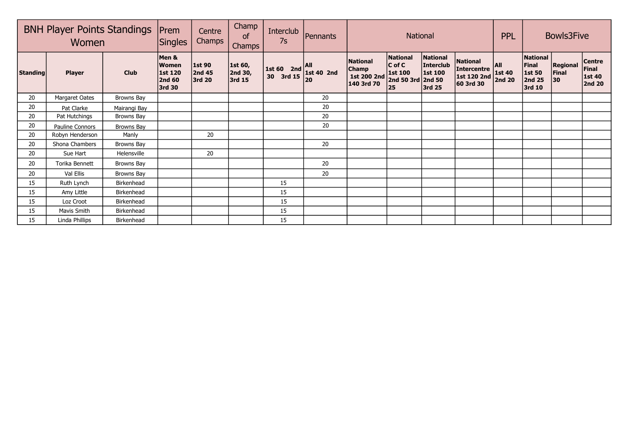| <b>BNH Player Points Standings</b><br>Women |                 |              | Prem<br><b>Singles</b>                                             | Centre<br>Champs                  | Champ<br>of<br><b>Champs</b> | <b>Interclub</b><br>7s                                                                                                            | Pennants |                                                              |                                                                             | <b>National</b>                                   | <b>PPL</b>                                                   |                                | Bowls3Five                                             |                                 |                                                   |
|---------------------------------------------|-----------------|--------------|--------------------------------------------------------------------|-----------------------------------|------------------------------|-----------------------------------------------------------------------------------------------------------------------------------|----------|--------------------------------------------------------------|-----------------------------------------------------------------------------|---------------------------------------------------|--------------------------------------------------------------|--------------------------------|--------------------------------------------------------|---------------------------------|---------------------------------------------------|
| <b>Standing</b>                             | <b>Player</b>   | <b>Club</b>  | Men &<br><b>Women</b><br><b>1st 120</b><br><b>2nd 60</b><br>3rd 30 | <b>1st 90</b><br>2nd 45<br>3rd 20 | 1st 60,<br>2nd 30,<br>3rd 15 | $\left  \begin{array}{cc} 1 \text{st} & 60 & 2 \text{nd} \\ 20 & 2 \text{rd} & 15 \end{array} \right $ 1st 40 2nd<br>30<br>3rd 15 | 20       | <b>National</b><br><b>Champ</b><br>1st 200 2nd<br>140 3rd 70 | National<br>$ C \text{ of } C$<br><b>1st 100</b><br>2nd 50 3rd 2nd 50<br>25 | National<br>Interclub<br><b>1st 100</b><br>3rd 25 | <b>National</b><br>Intercentre  <br>1st 120 2nd<br>60 3rd 30 | <b>AII</b><br>1st 40<br>2nd 20 | National<br>Final<br><b>1st 50</b><br>2nd 25<br>3rd 10 | <b>Regional</b><br>Final<br> 30 | <b>Centre</b><br>Final<br>1st 40<br><b>2nd 20</b> |
| 20                                          | Margaret Oates  | Browns Bay   |                                                                    |                                   |                              |                                                                                                                                   | 20       |                                                              |                                                                             |                                                   |                                                              |                                |                                                        |                                 |                                                   |
| 20                                          | Pat Clarke      | Mairangi Bay |                                                                    |                                   |                              |                                                                                                                                   | 20       |                                                              |                                                                             |                                                   |                                                              |                                |                                                        |                                 |                                                   |
| 20                                          | Pat Hutchings   | Browns Bay   |                                                                    |                                   |                              |                                                                                                                                   | 20       |                                                              |                                                                             |                                                   |                                                              |                                |                                                        |                                 |                                                   |
| 20                                          | Pauline Connors | Browns Bay   |                                                                    |                                   |                              |                                                                                                                                   | 20       |                                                              |                                                                             |                                                   |                                                              |                                |                                                        |                                 |                                                   |
| 20                                          | Robyn Henderson | Manly        |                                                                    | 20                                |                              |                                                                                                                                   |          |                                                              |                                                                             |                                                   |                                                              |                                |                                                        |                                 |                                                   |
| 20                                          | Shona Chambers  | Browns Bay   |                                                                    |                                   |                              |                                                                                                                                   | 20       |                                                              |                                                                             |                                                   |                                                              |                                |                                                        |                                 |                                                   |
| 20                                          | Sue Hart        | Helensville  |                                                                    | 20                                |                              |                                                                                                                                   |          |                                                              |                                                                             |                                                   |                                                              |                                |                                                        |                                 |                                                   |
| 20                                          | Torika Bennett  | Browns Bay   |                                                                    |                                   |                              |                                                                                                                                   | 20       |                                                              |                                                                             |                                                   |                                                              |                                |                                                        |                                 |                                                   |
| 20                                          | Val Ellis       | Browns Bay   |                                                                    |                                   |                              |                                                                                                                                   | 20       |                                                              |                                                                             |                                                   |                                                              |                                |                                                        |                                 |                                                   |
| 15                                          | Ruth Lynch      | Birkenhead   |                                                                    |                                   |                              | 15                                                                                                                                |          |                                                              |                                                                             |                                                   |                                                              |                                |                                                        |                                 |                                                   |
| 15                                          | Amy Little      | Birkenhead   |                                                                    |                                   |                              | 15                                                                                                                                |          |                                                              |                                                                             |                                                   |                                                              |                                |                                                        |                                 |                                                   |
| 15                                          | Loz Croot       | Birkenhead   |                                                                    |                                   |                              | 15                                                                                                                                |          |                                                              |                                                                             |                                                   |                                                              |                                |                                                        |                                 |                                                   |
| 15                                          | Mavis Smith     | Birkenhead   |                                                                    |                                   |                              | 15                                                                                                                                |          |                                                              |                                                                             |                                                   |                                                              |                                |                                                        |                                 |                                                   |
| 15                                          | Linda Phillips  | Birkenhead   |                                                                    |                                   |                              | 15                                                                                                                                |          |                                                              |                                                                             |                                                   |                                                              |                                |                                                        |                                 |                                                   |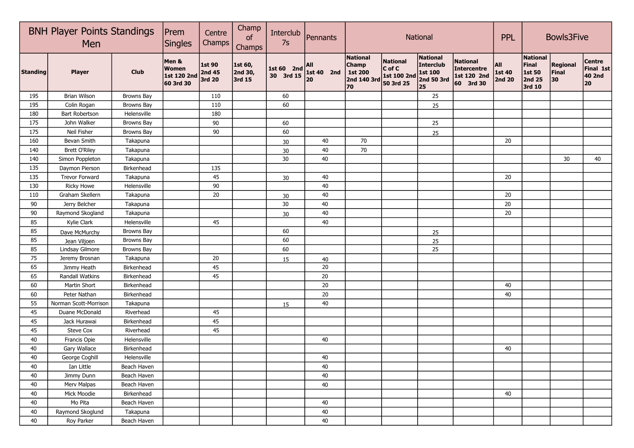|                 | <b>BNH Player Points Standings</b><br>Men |                   |                                                   | Centre<br>Champs                  | Champ<br>of<br>Champs        | Interclub<br>7s         | Pennants                  |                                                                        |                                                       | National                                                     |                                                            | <b>PPL</b>              | <b>Bowls3Five</b>                               |                                |                                            |
|-----------------|-------------------------------------------|-------------------|---------------------------------------------------|-----------------------------------|------------------------------|-------------------------|---------------------------|------------------------------------------------------------------------|-------------------------------------------------------|--------------------------------------------------------------|------------------------------------------------------------|-------------------------|-------------------------------------------------|--------------------------------|--------------------------------------------|
| <b>Standing</b> | <b>Player</b>                             | <b>Club</b>       | Men &<br><b>Women</b><br>1st 120 2nd<br>60 3rd 30 | 1st 90<br><b>2nd 45</b><br>3rd 20 | 1st 60,<br>2nd 30,<br>3rd 15 | 1st 60 2nd<br>30 3rd 15 | All<br>1st 40 $2nd$<br>20 | <b>National</b><br><b>Champ</b><br><b>1st 200</b><br>2nd 140 3rd<br>70 | <b>National</b><br>C of C<br>1st 100 2nd<br>50 3rd 25 | <b>National</b><br>Interclub<br>1st 100<br>2nd 50 3rd<br> 25 | <b>National</b><br>Intercentre<br>1st 120 2nd<br>60 3rd 30 | All<br>1st 40<br>2nd 20 | National<br>Final<br>1st 50<br>2nd 25<br>3rd 10 | <b>Regional</b><br>Final<br>30 | <b>Centre</b><br>Final 1st<br>40 2nd<br>20 |
| 195             | Brian Wilson                              | Browns Bay        |                                                   | 110                               |                              | 60                      |                           |                                                                        |                                                       | 25                                                           |                                                            |                         |                                                 |                                |                                            |
| 195             | Colin Rogan                               | Browns Bay        |                                                   | 110                               |                              | 60                      |                           |                                                                        |                                                       | 25                                                           |                                                            |                         |                                                 |                                |                                            |
| 180             | <b>Bart Robertson</b>                     | Helensville       |                                                   | 180                               |                              |                         |                           |                                                                        |                                                       |                                                              |                                                            |                         |                                                 |                                |                                            |
| 175             | John Walker                               | Browns Bay        |                                                   | 90                                |                              | 60                      |                           |                                                                        |                                                       | 25                                                           |                                                            |                         |                                                 |                                |                                            |
| 175             | Neil Fisher                               | Browns Bay        |                                                   | 90                                |                              | 60                      |                           |                                                                        |                                                       | 25                                                           |                                                            |                         |                                                 |                                |                                            |
| 160             | Bevan Smith                               | Takapuna          |                                                   |                                   |                              | $30\,$                  | 40                        | 70                                                                     |                                                       |                                                              |                                                            | 20                      |                                                 |                                |                                            |
| 140             | <b>Brett O'Riley</b>                      | Takapuna          |                                                   |                                   |                              | $30\,$                  | 40                        | 70                                                                     |                                                       |                                                              |                                                            |                         |                                                 |                                |                                            |
| 140             | Simon Poppleton                           | Takapuna          |                                                   |                                   |                              | 30                      | 40                        |                                                                        |                                                       |                                                              |                                                            |                         |                                                 | 30                             | 40                                         |
| 135             | Daymon Pierson                            | Birkenhead        |                                                   | 135                               |                              |                         |                           |                                                                        |                                                       |                                                              |                                                            |                         |                                                 |                                |                                            |
| 135             | <b>Trevor Forward</b>                     | Takapuna          |                                                   | 45                                |                              | 30                      | 40                        |                                                                        |                                                       |                                                              |                                                            | 20                      |                                                 |                                |                                            |
| 130             | <b>Ricky Howe</b>                         | Helensville       |                                                   | 90                                |                              |                         | 40                        |                                                                        |                                                       |                                                              |                                                            |                         |                                                 |                                |                                            |
| 110             | Graham Skellern                           | Takapuna          |                                                   | 20                                |                              | $30\,$                  | 40                        |                                                                        |                                                       |                                                              |                                                            | 20                      |                                                 |                                |                                            |
| 90              | Jerry Belcher                             | Takapuna          |                                                   |                                   |                              | 30                      | 40                        |                                                                        |                                                       |                                                              |                                                            | 20                      |                                                 |                                |                                            |
| 90              | Raymond Skogland                          | Takapuna          |                                                   |                                   |                              | 30                      | 40                        |                                                                        |                                                       |                                                              |                                                            | 20                      |                                                 |                                |                                            |
| 85              | Kylie Clark                               | Helensville       |                                                   | 45                                |                              |                         | 40                        |                                                                        |                                                       |                                                              |                                                            |                         |                                                 |                                |                                            |
| 85              | Dave McMurchy                             | <b>Browns Bay</b> |                                                   |                                   |                              | 60                      |                           |                                                                        |                                                       | 25                                                           |                                                            |                         |                                                 |                                |                                            |
| 85              | Jean Viljoen                              | <b>Browns Bay</b> |                                                   |                                   |                              | 60                      |                           |                                                                        |                                                       | 25                                                           |                                                            |                         |                                                 |                                |                                            |
| 85              | Lindsay Gilmore                           | <b>Browns Bay</b> |                                                   |                                   |                              | 60                      |                           |                                                                        |                                                       | 25                                                           |                                                            |                         |                                                 |                                |                                            |
| 75              | Jeremy Brosnan                            | Takapuna          |                                                   | 20                                |                              | 15                      | 40                        |                                                                        |                                                       |                                                              |                                                            |                         |                                                 |                                |                                            |
| 65              | Jimmy Heath                               | Birkenhead        |                                                   | 45                                |                              |                         | 20                        |                                                                        |                                                       |                                                              |                                                            |                         |                                                 |                                |                                            |
| 65              | <b>Randall Watkins</b>                    | Birkenhead        |                                                   | 45                                |                              |                         | $20\,$                    |                                                                        |                                                       |                                                              |                                                            |                         |                                                 |                                |                                            |
| 60              | <b>Martin Short</b>                       | Birkenhead        |                                                   |                                   |                              |                         | 20                        |                                                                        |                                                       |                                                              |                                                            | 40                      |                                                 |                                |                                            |
| 60              | Peter Nathan                              | Birkenhead        |                                                   |                                   |                              |                         | 20                        |                                                                        |                                                       |                                                              |                                                            | 40                      |                                                 |                                |                                            |
| 55              | Norman Scott-Morrison                     | Takapuna          |                                                   |                                   |                              | 15                      | 40                        |                                                                        |                                                       |                                                              |                                                            |                         |                                                 |                                |                                            |
| 45              | Duane McDonald                            | Riverhead         |                                                   | 45                                |                              |                         |                           |                                                                        |                                                       |                                                              |                                                            |                         |                                                 |                                |                                            |
| 45              | Jack Hurawai                              | Birkenhead        |                                                   | 45                                |                              |                         |                           |                                                                        |                                                       |                                                              |                                                            |                         |                                                 |                                |                                            |
| 45              | Steve Cox                                 | Riverhead         |                                                   | 45                                |                              |                         |                           |                                                                        |                                                       |                                                              |                                                            |                         |                                                 |                                |                                            |
| 40              | Francis Opie                              | Helensville       |                                                   |                                   |                              |                         | 40                        |                                                                        |                                                       |                                                              |                                                            |                         |                                                 |                                |                                            |
| 40              | Gary Wallace                              | Birkenhead        |                                                   |                                   |                              |                         |                           |                                                                        |                                                       |                                                              |                                                            | 40                      |                                                 |                                |                                            |
| 40              | George Coghill                            | Helensville       |                                                   |                                   |                              |                         | 40                        |                                                                        |                                                       |                                                              |                                                            |                         |                                                 |                                |                                            |
| 40              | Ian Little                                | Beach Haven       |                                                   |                                   |                              |                         | 40                        |                                                                        |                                                       |                                                              |                                                            |                         |                                                 |                                |                                            |
| 40              | Jimmy Dunn                                | Beach Haven       |                                                   |                                   |                              |                         | 40                        |                                                                        |                                                       |                                                              |                                                            |                         |                                                 |                                |                                            |
| 40              | Merv Malpas                               | Beach Haven       |                                                   |                                   |                              |                         | 40                        |                                                                        |                                                       |                                                              |                                                            |                         |                                                 |                                |                                            |
| 40              | Mick Moodie                               | Birkenhead        |                                                   |                                   |                              |                         |                           |                                                                        |                                                       |                                                              |                                                            | 40                      |                                                 |                                |                                            |
| 40              | Mo Pita                                   | Beach Haven       |                                                   |                                   |                              |                         | 40                        |                                                                        |                                                       |                                                              |                                                            |                         |                                                 |                                |                                            |
| 40              | Raymond Skoglund                          | Takapuna          |                                                   |                                   |                              |                         | 40                        |                                                                        |                                                       |                                                              |                                                            |                         |                                                 |                                |                                            |
| 40              | Roy Parker                                | Beach Haven       |                                                   |                                   |                              |                         | 40                        |                                                                        |                                                       |                                                              |                                                            |                         |                                                 |                                |                                            |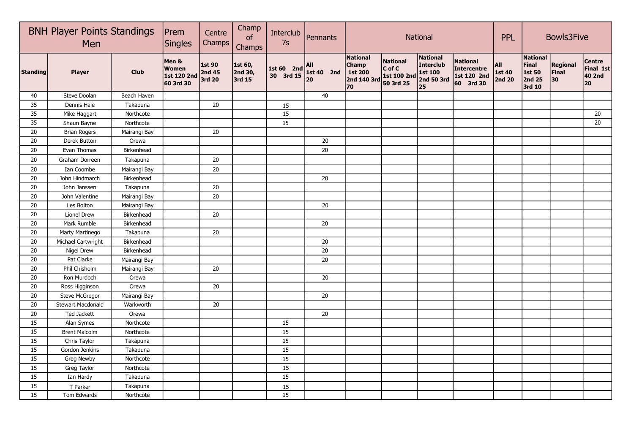|                 | <b>BNH Player Points Standings</b><br>Men |              |                                                   | Centre<br>Champs                  | Champ<br>of<br>Champs        | Interclub<br>7s         | Pennants                |                                                                        |                                                       | National                                                    |                                                                   | <b>PPL</b>                     | <b>Bowls3Five</b>                                      |                         |                                                   |
|-----------------|-------------------------------------------|--------------|---------------------------------------------------|-----------------------------------|------------------------------|-------------------------|-------------------------|------------------------------------------------------------------------|-------------------------------------------------------|-------------------------------------------------------------|-------------------------------------------------------------------|--------------------------------|--------------------------------------------------------|-------------------------|---------------------------------------------------|
| <b>Standing</b> | <b>Player</b>                             | <b>Club</b>  | Men &<br><b>Women</b><br>1st 120 2nd<br>60 3rd 30 | <b>1st 90</b><br>2nd 45<br>3rd 20 | 1st 60,<br>2nd 30,<br>3rd 15 | 1st 60 2nd<br>30 3rd 15 | All<br>1st 40 2nd<br>20 | <b>National</b><br><b>Champ</b><br><b>1st 200</b><br>2nd 140 3rd<br>70 | <b>National</b><br>C of C<br>1st 100 2nd<br>50 3rd 25 | <b>National</b><br>Interclub<br>1st 100<br>2nd 50 3rd<br>25 | <b>National</b><br><b>Intercentre</b><br>1st 120 2nd<br>60 3rd 30 | All<br><b>1st 40</b><br>2nd 20 | <b>National</b><br>Final<br>1st 50<br>2nd 25<br>3rd 10 | Regional<br>Final<br>30 | <b>Centre</b><br>Final 1st<br><b>40 2nd</b><br>20 |
| 40              | Steve Doolan                              | Beach Haven  |                                                   |                                   |                              |                         | 40                      |                                                                        |                                                       |                                                             |                                                                   |                                |                                                        |                         |                                                   |
| 35              | Dennis Hale                               | Takapuna     |                                                   | 20                                |                              | 15                      |                         |                                                                        |                                                       |                                                             |                                                                   |                                |                                                        |                         |                                                   |
| 35              | Mike Haggart                              | Northcote    |                                                   |                                   |                              | 15                      |                         |                                                                        |                                                       |                                                             |                                                                   |                                |                                                        |                         | 20                                                |
| 35              | Shaun Bayne                               | Northcote    |                                                   |                                   |                              | $\overline{15}$         |                         |                                                                        |                                                       |                                                             |                                                                   |                                |                                                        |                         | 20                                                |
| 20              | <b>Brian Rogers</b>                       | Mairangi Bay |                                                   | 20                                |                              |                         |                         |                                                                        |                                                       |                                                             |                                                                   |                                |                                                        |                         |                                                   |
| 20              | Derek Button                              | Orewa        |                                                   |                                   |                              |                         | 20                      |                                                                        |                                                       |                                                             |                                                                   |                                |                                                        |                         |                                                   |
| 20              | Evan Thomas                               | Birkenhead   |                                                   |                                   |                              |                         | $\overline{20}$         |                                                                        |                                                       |                                                             |                                                                   |                                |                                                        |                         |                                                   |
| 20              | Graham Dorreen                            | Takapuna     |                                                   | 20                                |                              |                         |                         |                                                                        |                                                       |                                                             |                                                                   |                                |                                                        |                         |                                                   |
| 20              | Ian Coombe                                | Mairangi Bay |                                                   | 20                                |                              |                         |                         |                                                                        |                                                       |                                                             |                                                                   |                                |                                                        |                         |                                                   |
| $20\,$          | John Hindmarch                            | Birkenhead   |                                                   |                                   |                              |                         | $20\,$                  |                                                                        |                                                       |                                                             |                                                                   |                                |                                                        |                         |                                                   |
| 20              | John Janssen                              | Takapuna     |                                                   | 20                                |                              |                         |                         |                                                                        |                                                       |                                                             |                                                                   |                                |                                                        |                         |                                                   |
| 20              | John Valentine                            | Mairangi Bay |                                                   | 20                                |                              |                         |                         |                                                                        |                                                       |                                                             |                                                                   |                                |                                                        |                         |                                                   |
| 20              | Les Bolton                                | Mairangi Bay |                                                   |                                   |                              |                         | 20                      |                                                                        |                                                       |                                                             |                                                                   |                                |                                                        |                         |                                                   |
| 20              | Lionel Drew                               | Birkenhead   |                                                   | 20                                |                              |                         |                         |                                                                        |                                                       |                                                             |                                                                   |                                |                                                        |                         |                                                   |
| 20              | Mark Rumble                               | Birkenhead   |                                                   |                                   |                              |                         | $20\,$                  |                                                                        |                                                       |                                                             |                                                                   |                                |                                                        |                         |                                                   |
| 20              | Marty Martinego                           | Takapuna     |                                                   | 20                                |                              |                         |                         |                                                                        |                                                       |                                                             |                                                                   |                                |                                                        |                         |                                                   |
| 20              | Michael Cartwright                        | Birkenhead   |                                                   |                                   |                              |                         | $20\,$                  |                                                                        |                                                       |                                                             |                                                                   |                                |                                                        |                         |                                                   |
| 20              | <b>Nigel Drew</b>                         | Birkenhead   |                                                   |                                   |                              |                         | 20                      |                                                                        |                                                       |                                                             |                                                                   |                                |                                                        |                         |                                                   |
| 20              | Pat Clarke                                | Mairangi Bay |                                                   |                                   |                              |                         | $20\,$                  |                                                                        |                                                       |                                                             |                                                                   |                                |                                                        |                         |                                                   |
| 20              | Phil Chisholm                             | Mairangi Bay |                                                   | 20                                |                              |                         |                         |                                                                        |                                                       |                                                             |                                                                   |                                |                                                        |                         |                                                   |
| $20\,$          | Ron Murdoch                               | Orewa        |                                                   |                                   |                              |                         | $20\,$                  |                                                                        |                                                       |                                                             |                                                                   |                                |                                                        |                         |                                                   |
| 20              | Ross Higginson                            | Orewa        |                                                   | 20                                |                              |                         |                         |                                                                        |                                                       |                                                             |                                                                   |                                |                                                        |                         |                                                   |
| 20              | <b>Steve McGregor</b>                     | Mairangi Bay |                                                   |                                   |                              |                         | $20\,$                  |                                                                        |                                                       |                                                             |                                                                   |                                |                                                        |                         |                                                   |
| 20              | Stewart Macdonald                         | Warkworth    |                                                   | 20                                |                              |                         |                         |                                                                        |                                                       |                                                             |                                                                   |                                |                                                        |                         |                                                   |
| 20              | Ted Jackett                               | Orewa        |                                                   |                                   |                              |                         | 20                      |                                                                        |                                                       |                                                             |                                                                   |                                |                                                        |                         |                                                   |
| 15              | Alan Symes                                | Northcote    |                                                   |                                   |                              | 15                      |                         |                                                                        |                                                       |                                                             |                                                                   |                                |                                                        |                         |                                                   |
| 15              | <b>Brent Malcolm</b>                      | Northcote    |                                                   |                                   |                              | 15                      |                         |                                                                        |                                                       |                                                             |                                                                   |                                |                                                        |                         |                                                   |
| 15              | Chris Taylor                              | Takapuna     |                                                   |                                   |                              | $15$                    |                         |                                                                        |                                                       |                                                             |                                                                   |                                |                                                        |                         |                                                   |
| 15              | Gordon Jenkins                            | Takapuna     |                                                   |                                   |                              | $\overline{15}$         |                         |                                                                        |                                                       |                                                             |                                                                   |                                |                                                        |                         |                                                   |
| 15              | Greg Newby                                | Northcote    |                                                   |                                   |                              | $\overline{15}$         |                         |                                                                        |                                                       |                                                             |                                                                   |                                |                                                        |                         |                                                   |
| 15              | Greg Taylor                               | Northcote    |                                                   |                                   |                              | 15                      |                         |                                                                        |                                                       |                                                             |                                                                   |                                |                                                        |                         |                                                   |
| 15              | Ian Hardy                                 | Takapuna     |                                                   |                                   |                              | 15                      |                         |                                                                        |                                                       |                                                             |                                                                   |                                |                                                        |                         |                                                   |
| 15              | T Parker                                  | Takapuna     |                                                   |                                   |                              | 15                      |                         |                                                                        |                                                       |                                                             |                                                                   |                                |                                                        |                         |                                                   |
| 15              | Tom Edwards                               | Northcote    |                                                   |                                   |                              | 15                      |                         |                                                                        |                                                       |                                                             |                                                                   |                                |                                                        |                         |                                                   |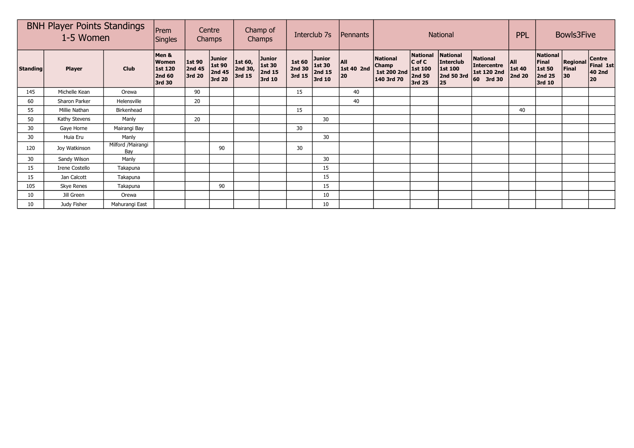| <b>BNH Player Points Standings</b><br>1-5 Women |                |                          | Prem<br><b>Singles</b>                               |                            | Centre<br>Champs                                   | Champ of<br>Champs           |                                             | Interclub 7s                      |                                      | Pennants                       |                                                              |                                                                            | PPL                                                         | <b>Bowls3Five</b>                                             |                                |                                                 |                                          |                                            |
|-------------------------------------------------|----------------|--------------------------|------------------------------------------------------|----------------------------|----------------------------------------------------|------------------------------|---------------------------------------------|-----------------------------------|--------------------------------------|--------------------------------|--------------------------------------------------------------|----------------------------------------------------------------------------|-------------------------------------------------------------|---------------------------------------------------------------|--------------------------------|-------------------------------------------------|------------------------------------------|--------------------------------------------|
| <b>Standing</b>                                 | <b>Player</b>  | <b>Club</b>              | Men &<br>Women<br>1st 120<br><b>2nd 60</b><br>3rd 30 | 1st 90<br>2nd 45<br>3rd 20 | <b>Junior</b><br><b>1st 90</b><br>2nd 45<br>3rd 20 | 1st 60,<br>2nd 30,<br>3rd 15 | <b>Junior</b><br>1st 30<br>2nd 15<br>3rd 10 | <b>1st 60</b><br>2nd 30<br>3rd 15 | Junior<br>1st 30<br>2nd 15<br>3rd 10 | <b>AII</b><br>1st 40 2nd<br>20 | <b>National</b><br><b>Champ</b><br>1st 200 2nd<br>140 3rd 70 | <b>National</b><br>$C$ of $C$<br><b>1st 100</b><br><b>2nd 50</b><br>3rd 25 | National<br>Interclub<br><b>1st 100</b><br>2nd 50 3rd<br>25 | <b>National</b><br>Intercentre<br>1st 120 2nd<br>3rd 30<br>60 | All<br>1st 40<br><b>2nd 20</b> | National<br>Final<br>1st 50<br>2nd 25<br>3rd 10 | <b>Regional</b><br>Final<br>$ 30\rangle$ | <b>Centre</b><br>Final 1st<br>40 2nd<br>20 |
| 145                                             | Michelle Kean  | Orewa                    |                                                      | 90                         |                                                    |                              |                                             | 15                                |                                      | 40                             |                                                              |                                                                            |                                                             |                                                               |                                |                                                 |                                          |                                            |
| 60                                              | Sharon Parker  | Helensville              |                                                      | 20                         |                                                    |                              |                                             |                                   |                                      | 40                             |                                                              |                                                                            |                                                             |                                                               |                                |                                                 |                                          |                                            |
| 55                                              | Millie Nathan  | Birkenhead               |                                                      |                            |                                                    |                              |                                             | 15                                |                                      |                                |                                                              |                                                                            |                                                             |                                                               | 40                             |                                                 |                                          |                                            |
| 50                                              | Kathy Stevens  | Manly                    |                                                      | 20                         |                                                    |                              |                                             |                                   | 30                                   |                                |                                                              |                                                                            |                                                             |                                                               |                                |                                                 |                                          |                                            |
| 30                                              | Gaye Horne     | Mairangi Bay             |                                                      |                            |                                                    |                              |                                             | 30                                |                                      |                                |                                                              |                                                                            |                                                             |                                                               |                                |                                                 |                                          |                                            |
| 30                                              | Huia Eru       | Manly                    |                                                      |                            |                                                    |                              |                                             |                                   | 30                                   |                                |                                                              |                                                                            |                                                             |                                                               |                                |                                                 |                                          |                                            |
| 120                                             | Joy Watkinson  | Milford /Mairangi<br>Bav |                                                      |                            | 90                                                 |                              |                                             | 30                                |                                      |                                |                                                              |                                                                            |                                                             |                                                               |                                |                                                 |                                          |                                            |
| 30                                              | Sandy Wilson   | Manly                    |                                                      |                            |                                                    |                              |                                             |                                   | 30                                   |                                |                                                              |                                                                            |                                                             |                                                               |                                |                                                 |                                          |                                            |
| 15                                              | Irene Costello | Takapuna                 |                                                      |                            |                                                    |                              |                                             |                                   | 15                                   |                                |                                                              |                                                                            |                                                             |                                                               |                                |                                                 |                                          |                                            |
| 15                                              | Jan Calcott    | Takapuna                 |                                                      |                            |                                                    |                              |                                             |                                   | 15                                   |                                |                                                              |                                                                            |                                                             |                                                               |                                |                                                 |                                          |                                            |
| 105                                             | Skye Renes     | Takapuna                 |                                                      |                            | 90                                                 |                              |                                             |                                   | 15                                   |                                |                                                              |                                                                            |                                                             |                                                               |                                |                                                 |                                          |                                            |
| 10                                              | Jill Green     | Orewa                    |                                                      |                            |                                                    |                              |                                             |                                   | 10                                   |                                |                                                              |                                                                            |                                                             |                                                               |                                |                                                 |                                          |                                            |
| 10                                              | Judy Fisher    | Mahurangi East           |                                                      |                            |                                                    |                              |                                             |                                   | 10                                   |                                |                                                              |                                                                            |                                                             |                                                               |                                |                                                 |                                          |                                            |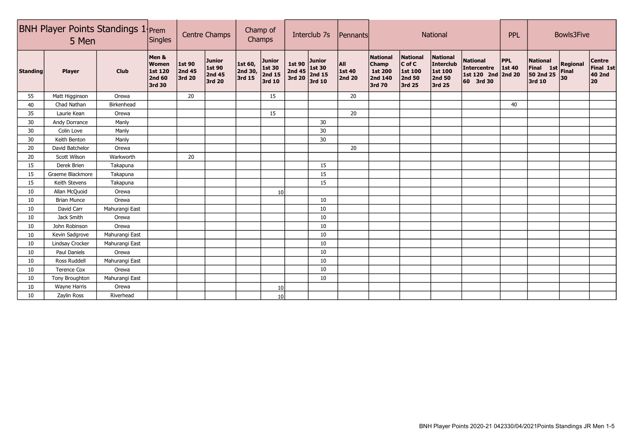|                 | <b>BNH Player Points Standings 1</b> Prem<br>5 Men |                |                                                                    | <b>Centre Champs</b>       |                                                    | Champ of<br>Champs                                                                            |                                                    | Interclub 7s                        |                                             | Pennants                  |                                                          |                                                                       | National                                                                         |                                                                   | <b>PPL</b>                     | Bowls3Five                                          |                                |                                            |
|-----------------|----------------------------------------------------|----------------|--------------------------------------------------------------------|----------------------------|----------------------------------------------------|-----------------------------------------------------------------------------------------------|----------------------------------------------------|-------------------------------------|---------------------------------------------|---------------------------|----------------------------------------------------------|-----------------------------------------------------------------------|----------------------------------------------------------------------------------|-------------------------------------------------------------------|--------------------------------|-----------------------------------------------------|--------------------------------|--------------------------------------------|
| <b>Standing</b> | <b>Player</b>                                      | <b>Club</b>    | Men &<br><b>Women</b><br><b>1st 120</b><br><b>2nd 60</b><br>3rd 30 | 1st 90<br>2nd 45<br>3rd 20 | <b>Junior</b><br>1st 90<br><b>2nd 45</b><br>3rd 20 | 1st 60,<br>$\left  \begin{smallmatrix} 2 \text{nd} \ 30, \end{smallmatrix} \right $<br>3rd 15 | <b>Junior</b><br><b>1st 30</b><br>2nd 15<br>3rd 10 | <b>1st 90</b><br>2nd $45$<br>3rd 20 | <b>Junior</b><br>1st 30<br>2nd 15<br>3rd 10 | All  <br>1st 40<br>2nd 20 | National<br><b>Champ</b><br>1st 200<br>2nd 140<br>3rd 70 | <b>National</b><br>$ C \text{ of } C $<br>1st 100<br>2nd 50<br>3rd 25 | <b>National</b><br><b>Interclub</b><br><b>1st 100</b><br><b>2nd 50</b><br>3rd 25 | <b>National</b><br><b>Intercentre</b><br>1st 120 2nd<br>60 3rd 30 | <b>PPL</b><br>1st 40<br>2nd 20 | <b>National</b><br>Final 1st<br>50 2nd 25<br>3rd 10 | <b>Regional</b><br>Final<br>30 | <b>Centre</b><br>Final 1st<br>40 2nd<br>20 |
| 55              | Matt Higginson                                     | Orewa          |                                                                    | 20                         |                                                    |                                                                                               | 15                                                 |                                     |                                             | 20                        |                                                          |                                                                       |                                                                                  |                                                                   |                                |                                                     |                                |                                            |
| 40              | Chad Nathan                                        | Birkenhead     |                                                                    |                            |                                                    |                                                                                               |                                                    |                                     |                                             |                           |                                                          |                                                                       |                                                                                  |                                                                   | 40                             |                                                     |                                |                                            |
| 35              | Laurie Kean                                        | Orewa          |                                                                    |                            |                                                    |                                                                                               | 15                                                 |                                     |                                             | 20                        |                                                          |                                                                       |                                                                                  |                                                                   |                                |                                                     |                                |                                            |
| 30              | Andy Dorrance                                      | Manly          |                                                                    |                            |                                                    |                                                                                               |                                                    |                                     | 30                                          |                           |                                                          |                                                                       |                                                                                  |                                                                   |                                |                                                     |                                |                                            |
| 30              | Colin Love                                         | Manly          |                                                                    |                            |                                                    |                                                                                               |                                                    |                                     | 30                                          |                           |                                                          |                                                                       |                                                                                  |                                                                   |                                |                                                     |                                |                                            |
| 30              | Keith Benton                                       | Manly          |                                                                    |                            |                                                    |                                                                                               |                                                    |                                     | 30                                          |                           |                                                          |                                                                       |                                                                                  |                                                                   |                                |                                                     |                                |                                            |
| 20              | David Batchelor                                    | Orewa          |                                                                    |                            |                                                    |                                                                                               |                                                    |                                     |                                             | 20                        |                                                          |                                                                       |                                                                                  |                                                                   |                                |                                                     |                                |                                            |
| 20              | Scott Wilson                                       | Warkworth      |                                                                    | 20                         |                                                    |                                                                                               |                                                    |                                     |                                             |                           |                                                          |                                                                       |                                                                                  |                                                                   |                                |                                                     |                                |                                            |
| 15              | Derek Brien                                        | Takapuna       |                                                                    |                            |                                                    |                                                                                               |                                                    |                                     | 15                                          |                           |                                                          |                                                                       |                                                                                  |                                                                   |                                |                                                     |                                |                                            |
| 15              | Graeme Blackmore                                   | Takapuna       |                                                                    |                            |                                                    |                                                                                               |                                                    |                                     | 15                                          |                           |                                                          |                                                                       |                                                                                  |                                                                   |                                |                                                     |                                |                                            |
| 15              | Keith Stevens                                      | Takapuna       |                                                                    |                            |                                                    |                                                                                               |                                                    |                                     | 15                                          |                           |                                                          |                                                                       |                                                                                  |                                                                   |                                |                                                     |                                |                                            |
| 10              | Allan McQuoid                                      | Orewa          |                                                                    |                            |                                                    |                                                                                               | 10 <sup>1</sup>                                    |                                     |                                             |                           |                                                          |                                                                       |                                                                                  |                                                                   |                                |                                                     |                                |                                            |
| 10              | <b>Brian Munce</b>                                 | Orewa          |                                                                    |                            |                                                    |                                                                                               |                                                    |                                     | 10                                          |                           |                                                          |                                                                       |                                                                                  |                                                                   |                                |                                                     |                                |                                            |
| 10              | David Carr                                         | Mahurangi East |                                                                    |                            |                                                    |                                                                                               |                                                    |                                     | 10                                          |                           |                                                          |                                                                       |                                                                                  |                                                                   |                                |                                                     |                                |                                            |
| 10              | Jack Smith                                         | Orewa          |                                                                    |                            |                                                    |                                                                                               |                                                    |                                     | 10                                          |                           |                                                          |                                                                       |                                                                                  |                                                                   |                                |                                                     |                                |                                            |
| 10              | John Robinson                                      | Orewa          |                                                                    |                            |                                                    |                                                                                               |                                                    |                                     | 10                                          |                           |                                                          |                                                                       |                                                                                  |                                                                   |                                |                                                     |                                |                                            |
| 10 <sup>°</sup> | Kevin Sadgrove                                     | Mahurangi East |                                                                    |                            |                                                    |                                                                                               |                                                    |                                     | 10                                          |                           |                                                          |                                                                       |                                                                                  |                                                                   |                                |                                                     |                                |                                            |
| 10              | Lindsay Crocker                                    | Mahurangi East |                                                                    |                            |                                                    |                                                                                               |                                                    |                                     | 10                                          |                           |                                                          |                                                                       |                                                                                  |                                                                   |                                |                                                     |                                |                                            |
| 10              | Paul Daniels                                       | Orewa          |                                                                    |                            |                                                    |                                                                                               |                                                    |                                     | 10                                          |                           |                                                          |                                                                       |                                                                                  |                                                                   |                                |                                                     |                                |                                            |
| 10              | Ross Ruddell                                       | Mahurangi East |                                                                    |                            |                                                    |                                                                                               |                                                    |                                     | 10                                          |                           |                                                          |                                                                       |                                                                                  |                                                                   |                                |                                                     |                                |                                            |
| 10              | <b>Terence Cox</b>                                 | Orewa          |                                                                    |                            |                                                    |                                                                                               |                                                    |                                     | 10                                          |                           |                                                          |                                                                       |                                                                                  |                                                                   |                                |                                                     |                                |                                            |
| 10              | Tony Broughton                                     | Mahurangi East |                                                                    |                            |                                                    |                                                                                               |                                                    |                                     | 10                                          |                           |                                                          |                                                                       |                                                                                  |                                                                   |                                |                                                     |                                |                                            |
| 10              | Wayne Harris                                       | Orewa          |                                                                    |                            |                                                    |                                                                                               | 10                                                 |                                     |                                             |                           |                                                          |                                                                       |                                                                                  |                                                                   |                                |                                                     |                                |                                            |
| 10              | Zaylin Ross                                        | Riverhead      |                                                                    |                            |                                                    |                                                                                               | 10 <sup>1</sup>                                    |                                     |                                             |                           |                                                          |                                                                       |                                                                                  |                                                                   |                                |                                                     |                                |                                            |